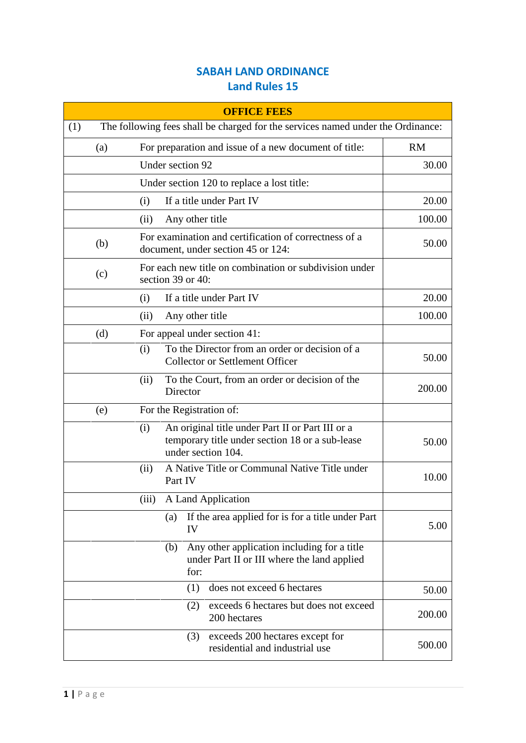## **SABAH LAND ORDINANCE Land Rules 15**

| <b>OFFICE FEES</b> |     |                                                                                                                                  |           |
|--------------------|-----|----------------------------------------------------------------------------------------------------------------------------------|-----------|
| (1)                |     | The following fees shall be charged for the services named under the Ordinance:                                                  |           |
|                    | (a) | For preparation and issue of a new document of title:                                                                            | <b>RM</b> |
|                    |     | Under section 92                                                                                                                 | 30.00     |
|                    |     | Under section 120 to replace a lost title:                                                                                       |           |
|                    |     | If a title under Part IV<br>(i)                                                                                                  | 20.00     |
|                    |     | Any other title<br>(ii)                                                                                                          | 100.00    |
|                    | (b) | For examination and certification of correctness of a<br>document, under section 45 or 124:                                      | 50.00     |
|                    | (c) | For each new title on combination or subdivision under<br>section 39 or 40:                                                      |           |
|                    |     | If a title under Part IV<br>(i)                                                                                                  | 20.00     |
|                    |     | Any other title<br>(ii)                                                                                                          | 100.00    |
|                    | (d) | For appeal under section 41:                                                                                                     |           |
|                    |     | To the Director from an order or decision of a<br>(i)<br><b>Collector or Settlement Officer</b>                                  | 50.00     |
|                    |     | To the Court, from an order or decision of the<br>(ii)<br>Director                                                               | 200.00    |
|                    | (e) | For the Registration of:                                                                                                         |           |
|                    |     | An original title under Part II or Part III or a<br>(i)<br>temporary title under section 18 or a sub-lease<br>under section 104. | 50.00     |
|                    |     | A Native Title or Communal Native Title under<br>(ii)<br>Part IV                                                                 | 10.00     |
|                    |     | A Land Application<br>(iii)                                                                                                      |           |
|                    |     | If the area applied for is for a title under Part<br>(a)<br>IV                                                                   | 5.00      |
|                    |     | Any other application including for a title<br>(b)<br>under Part II or III where the land applied<br>for:                        |           |
|                    |     | does not exceed 6 hectares<br>(1)                                                                                                | 50.00     |
|                    |     | exceeds 6 hectares but does not exceed<br>(2)<br>200 hectares                                                                    | 200.00    |
|                    |     | exceeds 200 hectares except for<br>(3)<br>residential and industrial use                                                         | 500.00    |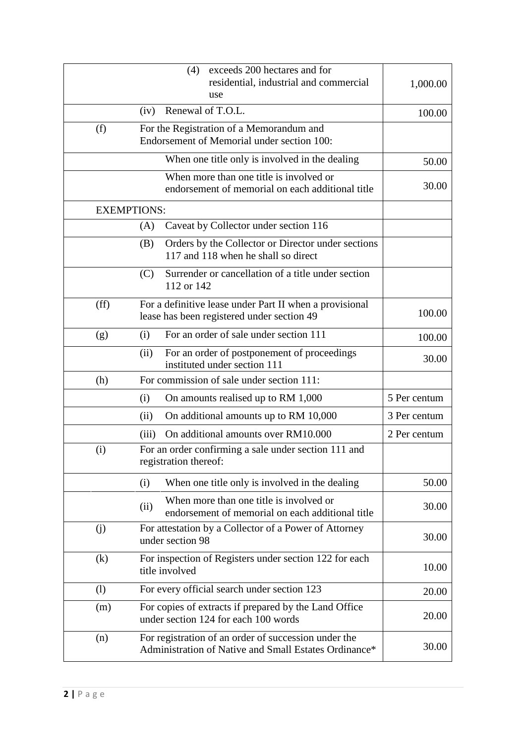|                    | exceeds 200 hectares and for<br>(4)<br>residential, industrial and commercial<br>use                          | 1,000.00     |
|--------------------|---------------------------------------------------------------------------------------------------------------|--------------|
|                    | Renewal of T.O.L.<br>(iv)                                                                                     | 100.00       |
| (f)                | For the Registration of a Memorandum and<br>Endorsement of Memorial under section 100:                        |              |
|                    | When one title only is involved in the dealing                                                                | 50.00        |
|                    | When more than one title is involved or<br>endorsement of memorial on each additional title                   | 30.00        |
| <b>EXEMPTIONS:</b> |                                                                                                               |              |
|                    | Caveat by Collector under section 116<br>(A)                                                                  |              |
|                    | Orders by the Collector or Director under sections<br>(B)<br>117 and 118 when he shall so direct              |              |
|                    | Surrender or cancellation of a title under section<br>(C)<br>112 or 142                                       |              |
| (ff)               | For a definitive lease under Part II when a provisional<br>lease has been registered under section 49         | 100.00       |
| (g)                | For an order of sale under section 111<br>(i)                                                                 | 100.00       |
|                    | For an order of postponement of proceedings<br>(ii)<br>instituted under section 111                           | 30.00        |
| (h)                | For commission of sale under section 111:                                                                     |              |
|                    | (i)<br>On amounts realised up to RM 1,000                                                                     | 5 Per centum |
|                    | On additional amounts up to RM 10,000<br>(ii)                                                                 | 3 Per centum |
|                    | On additional amounts over RM10.000<br>(iii)                                                                  | 2 Per centum |
| (i)                | For an order confirming a sale under section 111 and<br>registration thereof:                                 |              |
|                    | When one title only is involved in the dealing<br>(i)                                                         | 50.00        |
|                    | When more than one title is involved or<br>(ii)<br>endorsement of memorial on each additional title           | 30.00        |
| (j)                | For attestation by a Collector of a Power of Attorney<br>under section 98                                     | 30.00        |
| (k)                | For inspection of Registers under section 122 for each<br>title involved                                      | 10.00        |
| (1)                | For every official search under section 123                                                                   | 20.00        |
| (m)                | For copies of extracts if prepared by the Land Office<br>under section 124 for each 100 words                 | 20.00        |
| (n)                | For registration of an order of succession under the<br>Administration of Native and Small Estates Ordinance* | 30.00        |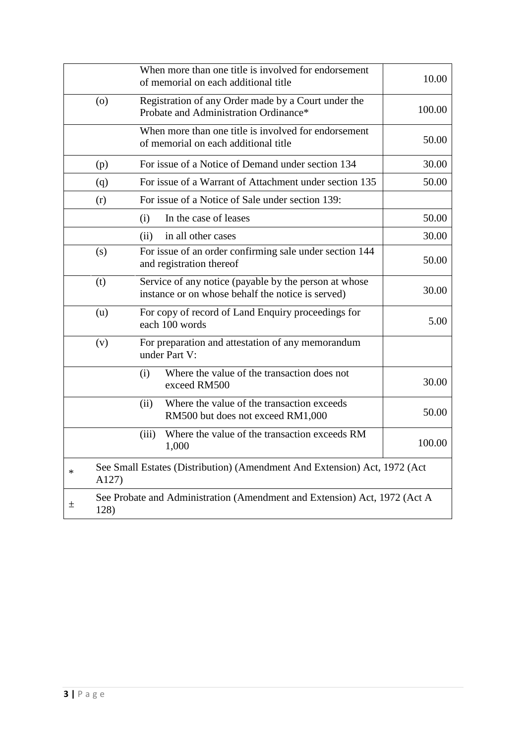|        |         | When more than one title is involved for endorsement<br>of memorial on each additional title               | 10.00  |
|--------|---------|------------------------------------------------------------------------------------------------------------|--------|
|        | $\circ$ | Registration of any Order made by a Court under the<br>Probate and Administration Ordinance*               | 100.00 |
|        |         | When more than one title is involved for endorsement<br>of memorial on each additional title               | 50.00  |
|        | (p)     | For issue of a Notice of Demand under section 134                                                          | 30.00  |
|        | (q)     | For issue of a Warrant of Attachment under section 135                                                     | 50.00  |
|        | (r)     | For issue of a Notice of Sale under section 139:                                                           |        |
|        |         | In the case of leases<br>(i)                                                                               | 50.00  |
|        |         | in all other cases<br>(ii)                                                                                 | 30.00  |
|        | (s)     | For issue of an order confirming sale under section 144<br>and registration thereof                        | 50.00  |
|        | (t)     | Service of any notice (payable by the person at whose<br>instance or on whose behalf the notice is served) | 30.00  |
|        | (u)     | For copy of record of Land Enquiry proceedings for<br>each 100 words                                       | 5.00   |
|        | (v)     | For preparation and attestation of any memorandum<br>under Part V:                                         |        |
|        |         | Where the value of the transaction does not<br>(i)<br>exceed RM500                                         | 30.00  |
|        |         | (ii)<br>Where the value of the transaction exceeds<br>RM500 but does not exceed RM1,000                    | 50.00  |
|        |         | Where the value of the transaction exceeds RM<br>(iii)<br>1,000                                            | 100.00 |
| $\ast$ | A127)   | See Small Estates (Distribution) (Amendment And Extension) Act, 1972 (Act                                  |        |
| 土      | 128)    | See Probate and Administration (Amendment and Extension) Act, 1972 (Act A                                  |        |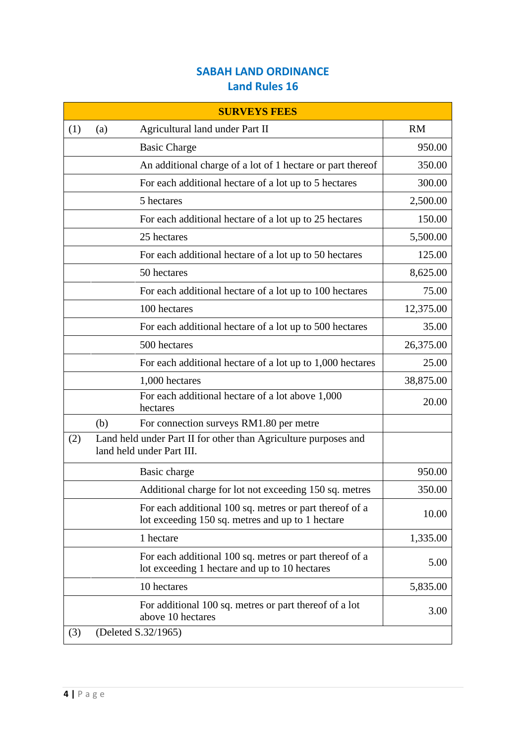## **SABAH LAND ORDINANCE Land Rules 16**

| <b>SURVEYS FEES</b> |                                                                                                             |           |
|---------------------|-------------------------------------------------------------------------------------------------------------|-----------|
| (1)                 | Agricultural land under Part II<br>(a)                                                                      | <b>RM</b> |
|                     | <b>Basic Charge</b>                                                                                         | 950.00    |
|                     | An additional charge of a lot of 1 hectare or part thereof                                                  | 350.00    |
|                     | For each additional hectare of a lot up to 5 hectares                                                       | 300.00    |
|                     | 5 hectares                                                                                                  | 2,500.00  |
|                     | For each additional hectare of a lot up to 25 hectares                                                      | 150.00    |
|                     | 25 hectares                                                                                                 | 5,500.00  |
|                     | For each additional hectare of a lot up to 50 hectares                                                      | 125.00    |
|                     | 50 hectares                                                                                                 | 8,625.00  |
|                     | For each additional hectare of a lot up to 100 hectares                                                     | 75.00     |
|                     | 100 hectares                                                                                                | 12,375.00 |
|                     | For each additional hectare of a lot up to 500 hectares                                                     | 35.00     |
|                     | 500 hectares                                                                                                | 26,375.00 |
|                     | For each additional hectare of a lot up to 1,000 hectares                                                   | 25.00     |
|                     | 1,000 hectares                                                                                              | 38,875.00 |
|                     | For each additional hectare of a lot above 1,000<br>hectares                                                | 20.00     |
|                     | For connection surveys RM1.80 per metre<br>(b)                                                              |           |
| (2)                 | Land held under Part II for other than Agriculture purposes and<br>land held under Part III.                |           |
|                     | Basic charge                                                                                                | 950.00    |
|                     | Additional charge for lot not exceeding 150 sq. metres                                                      | 350.00    |
|                     | For each additional 100 sq. metres or part thereof of a<br>lot exceeding 150 sq. metres and up to 1 hectare | 10.00     |
|                     | 1 hectare                                                                                                   | 1,335.00  |
|                     | For each additional 100 sq. metres or part thereof of a<br>lot exceeding 1 hectare and up to 10 hectares    | 5.00      |
|                     | 10 hectares                                                                                                 | 5,835.00  |
|                     | For additional 100 sq. metres or part thereof of a lot<br>above 10 hectares                                 | 3.00      |
| (3)                 | (Deleted S.32/1965)                                                                                         |           |